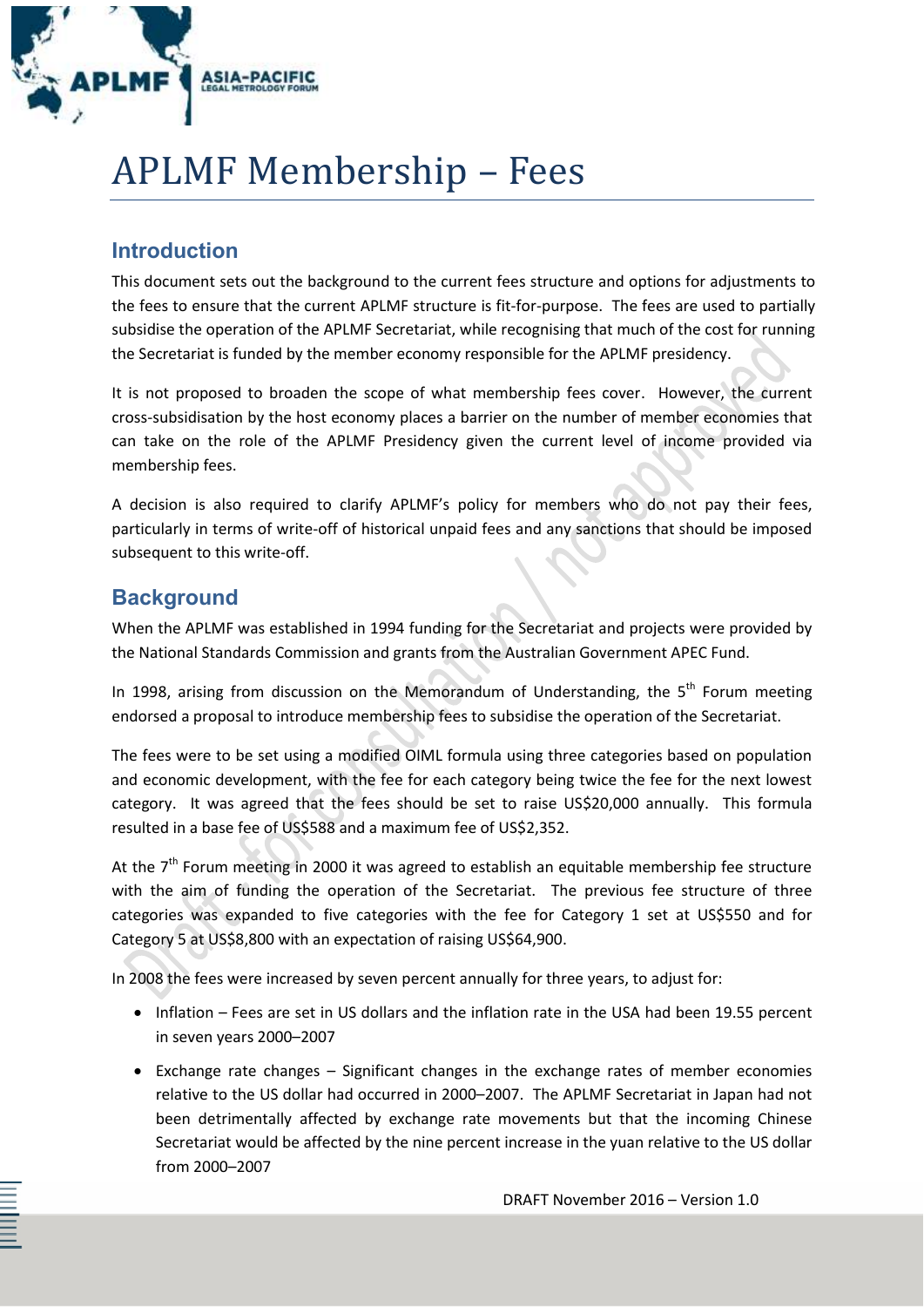

# APLMF Membership – Fees

# **Introduction**

This document sets out the background to the current fees structure and options for adjustments to the fees to ensure that the current APLMF structure is fit-for-purpose. The fees are used to partially subsidise the operation of the APLMF Secretariat, while recognising that much of the cost for running the Secretariat is funded by the member economy responsible for the APLMF presidency.

It is not proposed to broaden the scope of what membership fees cover. However, the current cross-subsidisation by the host economy places a barrier on the number of member economies that can take on the role of the APLMF Presidency given the current level of income provided via membership fees.

A decision is also required to clarify APLMF's policy for members who do not pay their fees, particularly in terms of write-off of historical unpaid fees and any sanctions that should be imposed subsequent to this write-off.

# **Background**

When the APLMF was established in 1994 funding for the Secretariat and projects were provided by the National Standards Commission and grants from the Australian Government APEC Fund.

In 1998, arising from discussion on the Memorandum of Understanding, the  $5<sup>th</sup>$  Forum meeting endorsed a proposal to introduce membership fees to subsidise the operation of the Secretariat.

The fees were to be set using a modified OIML formula using three categories based on population and economic development, with the fee for each category being twice the fee for the next lowest category. It was agreed that the fees should be set to raise US\$20,000 annually. This formula resulted in a base fee of US\$588 and a maximum fee of US\$2,352.

At the  $7<sup>th</sup>$  Forum meeting in 2000 it was agreed to establish an equitable membership fee structure with the aim of funding the operation of the Secretariat. The previous fee structure of three categories was expanded to five categories with the fee for Category 1 set at US\$550 and for Category 5 at US\$8,800 with an expectation of raising US\$64,900.

In 2008 the fees were increased by seven percent annually for three years, to adjust for:

- Inflation Fees are set in US dollars and the inflation rate in the USA had been 19.55 percent in seven years 2000–2007
- Exchange rate changes Significant changes in the exchange rates of member economies relative to the US dollar had occurred in 2000–2007. The APLMF Secretariat in Japan had not been detrimentally affected by exchange rate movements but that the incoming Chinese Secretariat would be affected by the nine percent increase in the yuan relative to the US dollar from 2000–2007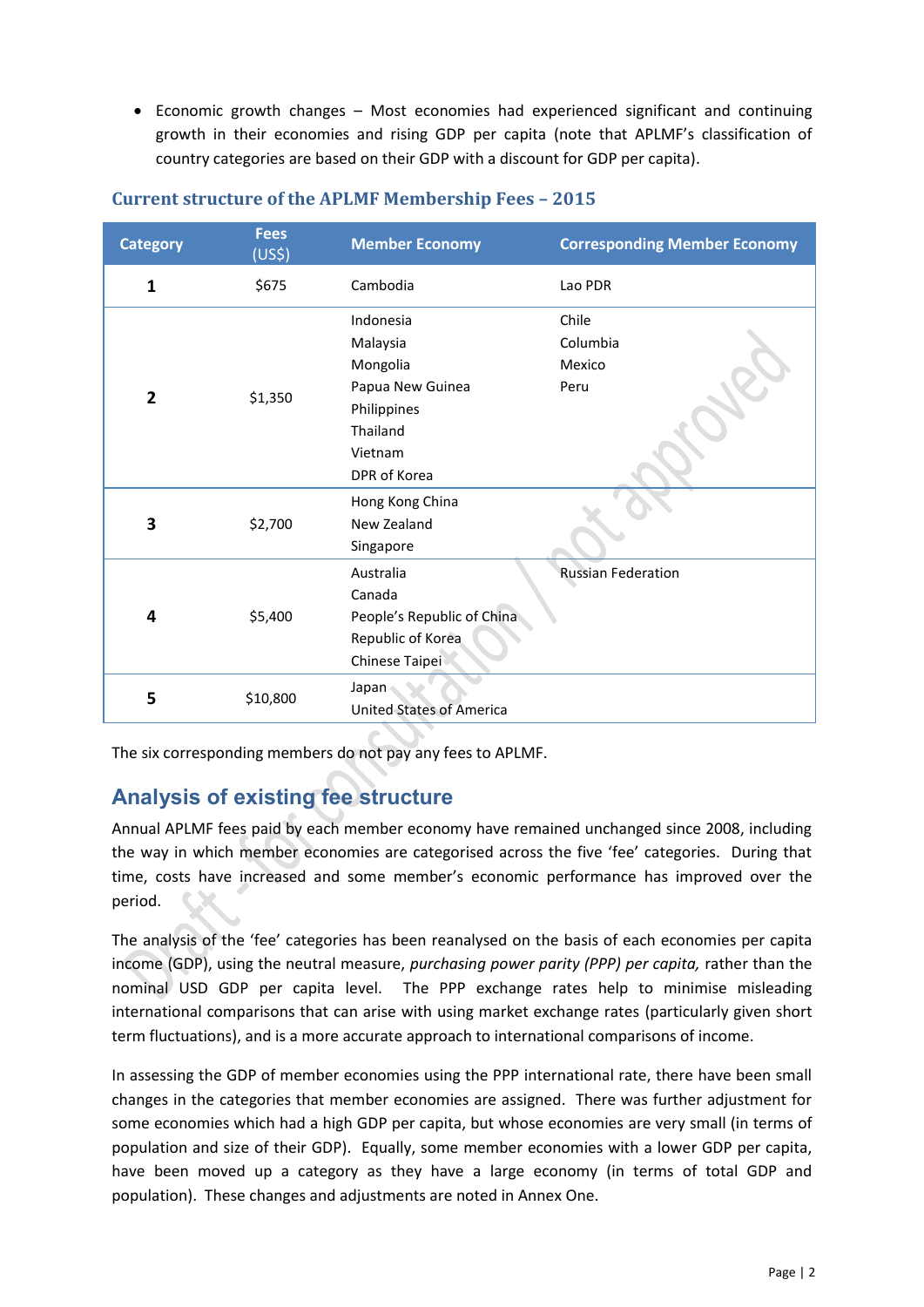Economic growth changes – Most economies had experienced significant and continuing growth in their economies and rising GDP per capita (note that APLMF's classification of country categories are based on their GDP with a discount for GDP per capita).

| <b>Category</b> | <b>Fees</b><br>(US5) | <b>Member Economy</b>                                                                                       | <b>Corresponding Member Economy</b> |
|-----------------|----------------------|-------------------------------------------------------------------------------------------------------------|-------------------------------------|
| 1               | \$675                | Cambodia                                                                                                    | Lao PDR                             |
| $\overline{2}$  | \$1,350              | Indonesia<br>Malaysia<br>Mongolia<br>Papua New Guinea<br>Philippines<br>Thailand<br>Vietnam<br>DPR of Korea | Chile<br>Columbia<br>Mexico<br>Peru |
| 3               | \$2,700              | Hong Kong China<br>New Zealand<br>Singapore                                                                 |                                     |
| 4               | \$5,400              | Australia<br>Canada<br>People's Republic of China<br>Republic of Korea<br>Chinese Taipei                    | <b>Russian Federation</b>           |
| 5               | \$10,800             | Japan<br><b>United States of America</b>                                                                    |                                     |

#### **Current structure of the APLMF Membership Fees – 2015**

The six corresponding members do not pay any fees to APLMF.

## **Analysis of existing fee structure**

Annual APLMF fees paid by each member economy have remained unchanged since 2008, including the way in which member economies are categorised across the five 'fee' categories. During that time, costs have increased and some member's economic performance has improved over the period.

The analysis of the 'fee' categories has been reanalysed on the basis of each economies per capita income (GDP), using the neutral measure, *purchasing power parity (PPP) per capita,* rather than the nominal USD GDP per capita level. The PPP exchange rates help to minimise misleading international comparisons that can arise with using market exchange rates (particularly given short term fluctuations), and is a more accurate approach to international comparisons of income.

In assessing the GDP of member economies using the PPP international rate, there have been small changes in the categories that member economies are assigned. There was further adjustment for some economies which had a high GDP per capita, but whose economies are very small (in terms of population and size of their GDP). Equally, some member economies with a lower GDP per capita, have been moved up a category as they have a large economy (in terms of total GDP and population). These changes and adjustments are noted in Annex One.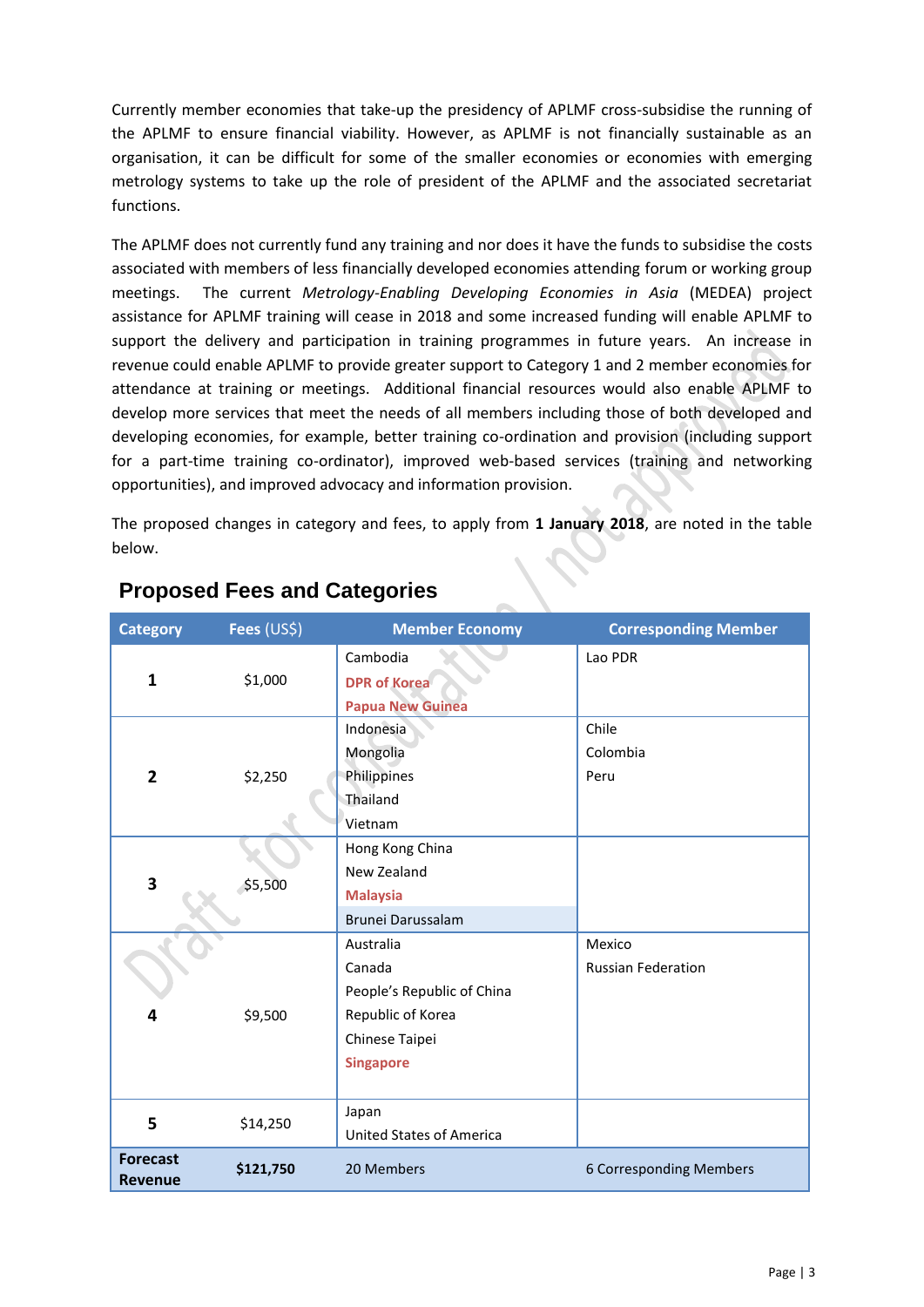Currently member economies that take-up the presidency of APLMF cross-subsidise the running of the APLMF to ensure financial viability. However, as APLMF is not financially sustainable as an organisation, it can be difficult for some of the smaller economies or economies with emerging metrology systems to take up the role of president of the APLMF and the associated secretariat functions.

The APLMF does not currently fund any training and nor does it have the funds to subsidise the costs associated with members of less financially developed economies attending forum or working group meetings. The current *Metrology-Enabling Developing Economies in Asia* (MEDEA) project assistance for APLMF training will cease in 2018 and some increased funding will enable APLMF to support the delivery and participation in training programmes in future years. An increase in revenue could enable APLMF to provide greater support to Category 1 and 2 member economies for attendance at training or meetings. Additional financial resources would also enable APLMF to develop more services that meet the needs of all members including those of both developed and developing economies, for example, better training co-ordination and provision (including support for a part-time training co-ordinator), improved web-based services (training and networking opportunities), and improved advocacy and information provision.

The proposed changes in category and fees, to apply from **1 January 2018**, are noted in the table below.

| <b>Category</b>                   | Fees (US\$) | <b>Member Economy</b>           | <b>Corresponding Member</b> |
|-----------------------------------|-------------|---------------------------------|-----------------------------|
|                                   |             | Cambodia                        | Lao PDR                     |
| $\mathbf{1}$                      | \$1,000     | <b>DPR of Korea</b>             |                             |
|                                   |             | <b>Papua New Guinea</b>         |                             |
|                                   |             | Indonesia                       | Chile                       |
|                                   |             | Mongolia                        | Colombia                    |
| $\mathbf{2}$                      | \$2,250     | Philippines                     | Peru                        |
|                                   |             | Thailand                        |                             |
|                                   |             | Vietnam                         |                             |
|                                   |             | Hong Kong China                 |                             |
| 3                                 |             | New Zealand                     |                             |
|                                   | \$5,500     | <b>Malaysia</b>                 |                             |
|                                   |             | Brunei Darussalam               |                             |
|                                   | \$9,500     | Australia                       | Mexico                      |
|                                   |             | Canada                          | <b>Russian Federation</b>   |
| 4                                 |             | People's Republic of China      |                             |
|                                   |             | Republic of Korea               |                             |
|                                   |             | Chinese Taipei                  |                             |
|                                   |             | <b>Singapore</b>                |                             |
|                                   |             |                                 |                             |
| 5                                 | \$14,250    | Japan                           |                             |
|                                   |             | <b>United States of America</b> |                             |
| <b>Forecast</b><br><b>Revenue</b> | \$121,750   | 20 Members                      | 6 Corresponding Members     |

## **Proposed Fees and Categories**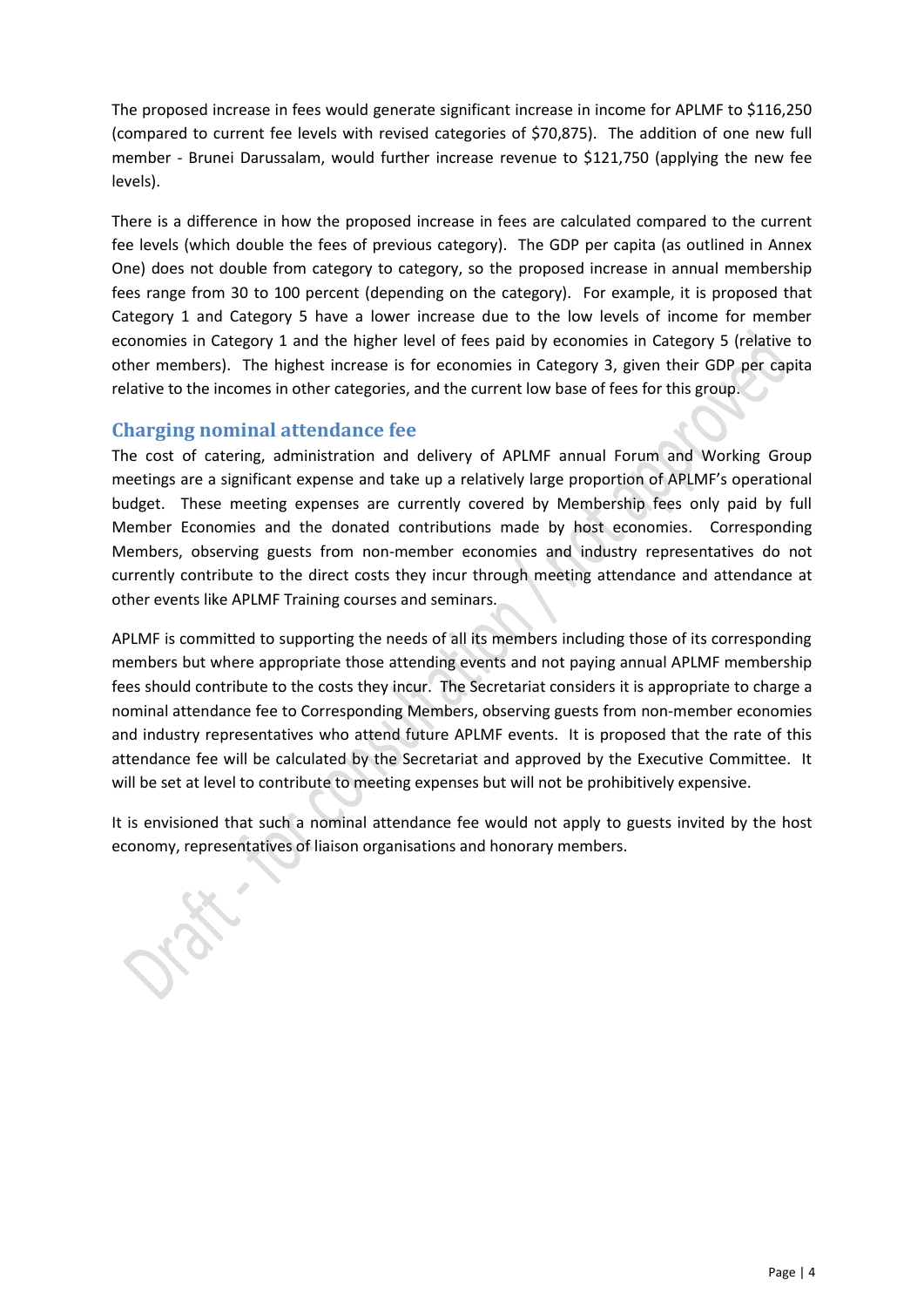The proposed increase in fees would generate significant increase in income for APLMF to \$116,250 (compared to current fee levels with revised categories of \$70,875). The addition of one new full member - Brunei Darussalam, would further increase revenue to \$121,750 (applying the new fee levels).

There is a difference in how the proposed increase in fees are calculated compared to the current fee levels (which double the fees of previous category). The GDP per capita (as outlined in Annex One) does not double from category to category, so the proposed increase in annual membership fees range from 30 to 100 percent (depending on the category). For example, it is proposed that Category 1 and Category 5 have a lower increase due to the low levels of income for member economies in Category 1 and the higher level of fees paid by economies in Category 5 (relative to other members). The highest increase is for economies in Category 3, given their GDP per capita relative to the incomes in other categories, and the current low base of fees for this group.

#### **Charging nominal attendance fee**

The cost of catering, administration and delivery of APLMF annual Forum and Working Group meetings are a significant expense and take up a relatively large proportion of APLMF's operational budget. These meeting expenses are currently covered by Membership fees only paid by full Member Economies and the donated contributions made by host economies. Corresponding Members, observing guests from non-member economies and industry representatives do not currently contribute to the direct costs they incur through meeting attendance and attendance at other events like APLMF Training courses and seminars.

APLMF is committed to supporting the needs of all its members including those of its corresponding members but where appropriate those attending events and not paying annual APLMF membership fees should contribute to the costs they incur. The Secretariat considers it is appropriate to charge a nominal attendance fee to Corresponding Members, observing guests from non-member economies and industry representatives who attend future APLMF events. It is proposed that the rate of this attendance fee will be calculated by the Secretariat and approved by the Executive Committee. It will be set at level to contribute to meeting expenses but will not be prohibitively expensive.

It is envisioned that such a nominal attendance fee would not apply to guests invited by the host economy, representatives of liaison organisations and honorary members.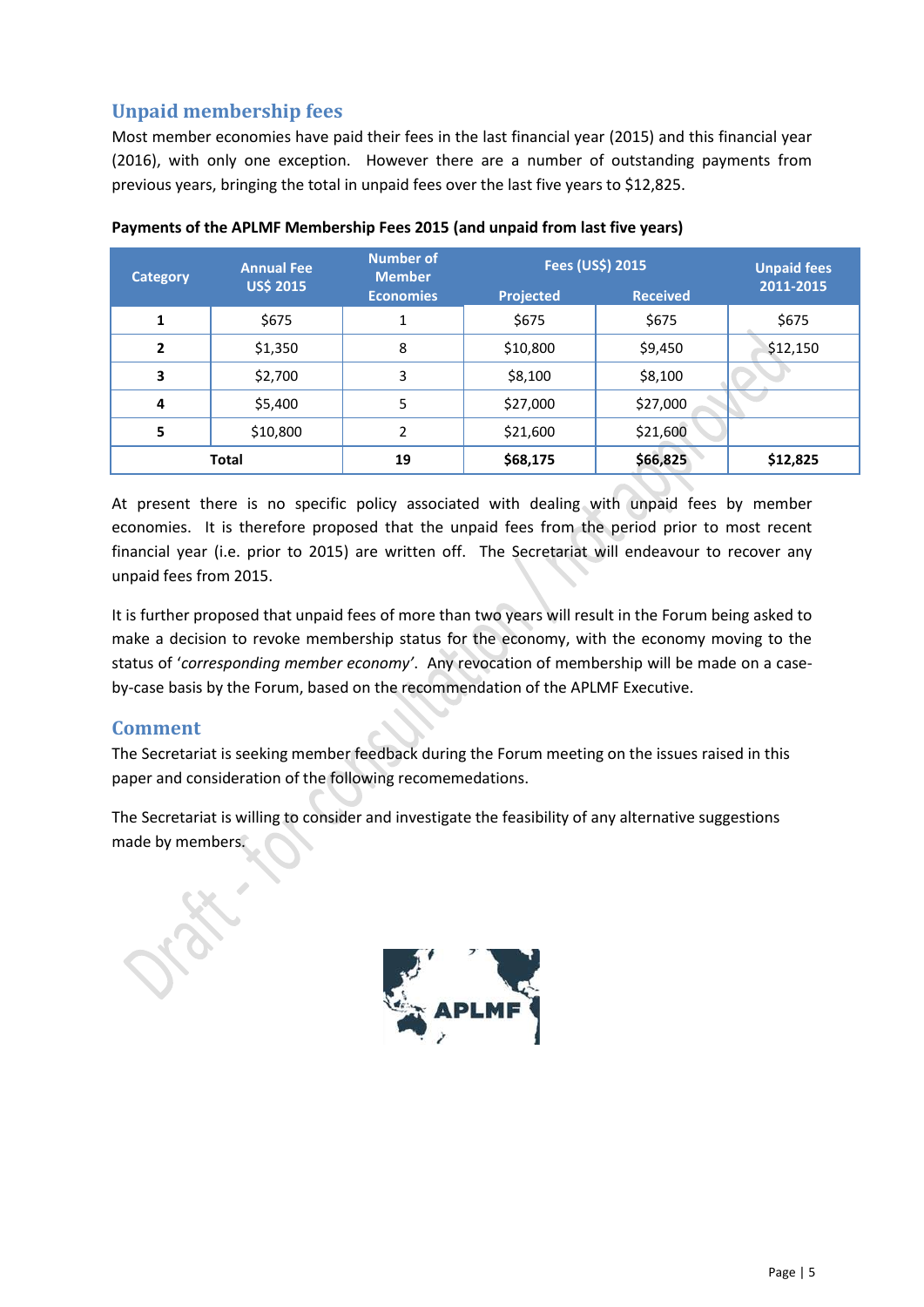## **Unpaid membership fees**

Most member economies have paid their fees in the last financial year (2015) and this financial year (2016), with only one exception. However there are a number of outstanding payments from previous years, bringing the total in unpaid fees over the last five years to \$12,825.

| <b>Category</b> | <b>Annual Fee</b><br><b>US\$ 2015</b> | <b>Number of</b><br><b>Member</b> | Fees (US\$) 2015 | <b>Unpaid fees</b> |           |
|-----------------|---------------------------------------|-----------------------------------|------------------|--------------------|-----------|
|                 |                                       | <b>Economies</b>                  | Projected        | <b>Received</b>    | 2011-2015 |
| 1               | \$675                                 |                                   | \$675            | \$675              | \$675     |
| 2               | \$1,350                               | 8                                 | \$10,800         | \$9,450            | \$12,150  |
| 3               | \$2,700                               | 3                                 | \$8,100          | \$8,100            |           |
| 4               | \$5,400                               | 5                                 | \$27,000         | \$27,000           |           |
| 5               | \$10,800                              | $\overline{\phantom{a}}$          | \$21,600         | \$21,600           |           |
|                 | <b>Total</b>                          | 19                                | \$68,175         | \$66,825           | \$12,825  |

**Payments of the APLMF Membership Fees 2015 (and unpaid from last five years)**

At present there is no specific policy associated with dealing with unpaid fees by member economies. It is therefore proposed that the unpaid fees from the period prior to most recent financial year (i.e. prior to 2015) are written off. The Secretariat will endeavour to recover any unpaid fees from 2015.

It is further proposed that unpaid fees of more than two years will result in the Forum being asked to make a decision to revoke membership status for the economy, with the economy moving to the status of '*corresponding member economy'*. Any revocation of membership will be made on a caseby-case basis by the Forum, based on the recommendation of the APLMF Executive.

## **Comment**

The Secretariat is seeking member feedback during the Forum meeting on the issues raised in this paper and consideration of the following recomemedations.

The Secretariat is willing to consider and investigate the feasibility of any alternative suggestions made by members.

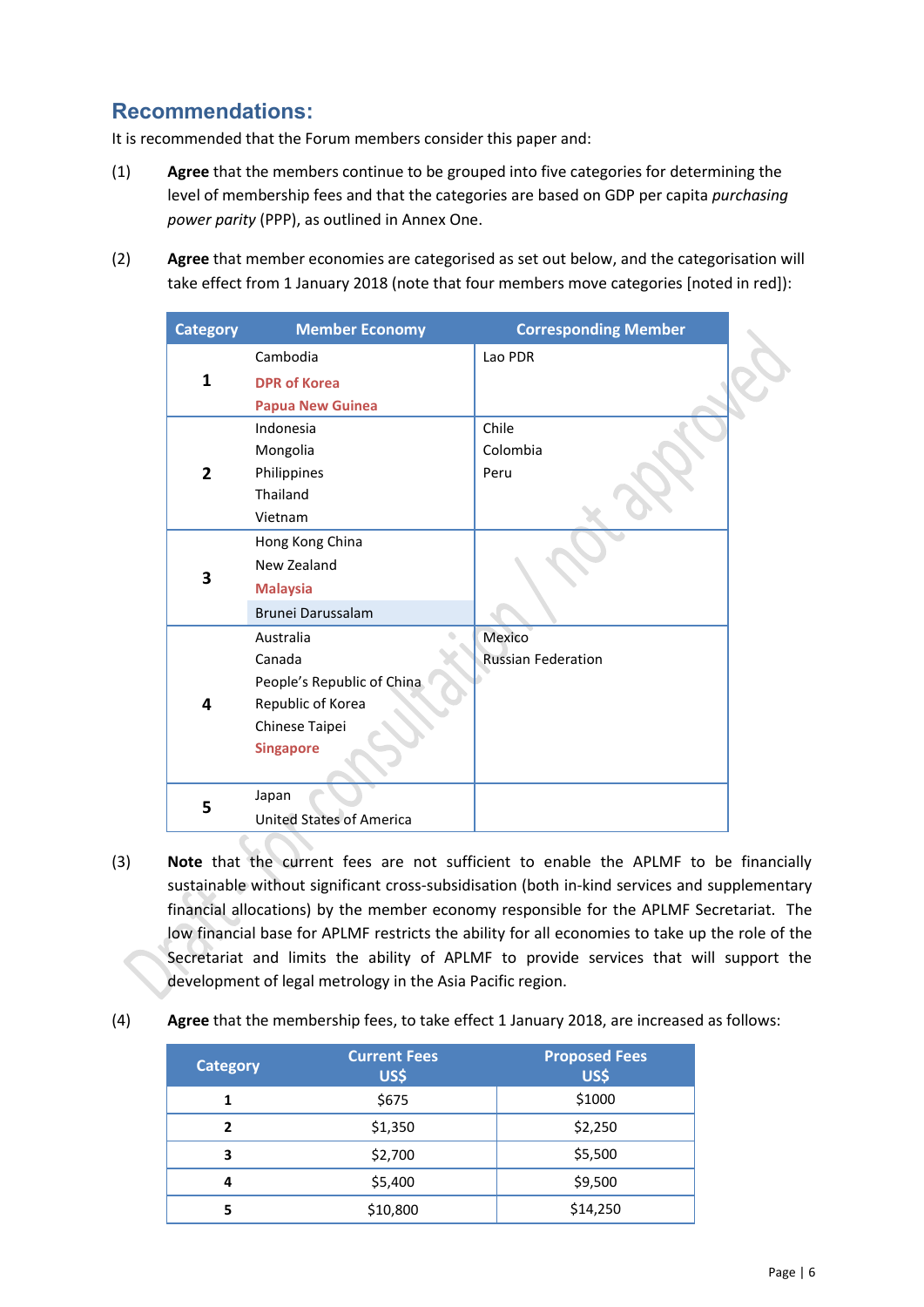# **Recommendations:**

It is recommended that the Forum members consider this paper and:

- (1) **Agree** that the members continue to be grouped into five categories for determining the level of membership fees and that the categories are based on GDP per capita *purchasing power parity* (PPP), as outlined in Annex One.
- (2) **Agree** that member economies are categorised as set out below, and the categorisation will take effect from 1 January 2018 (note that four members move categories [noted in red]):

| <b>Category</b> | <b>Member Economy</b>           | <b>Corresponding Member</b> |
|-----------------|---------------------------------|-----------------------------|
| 1               | Cambodia                        | Lao PDR                     |
|                 | <b>DPR of Korea</b>             |                             |
|                 | <b>Papua New Guinea</b>         |                             |
|                 | Indonesia                       | Chile                       |
|                 | Mongolia                        | Colombia                    |
| $\overline{2}$  | Philippines                     | Peru                        |
|                 | Thailand                        |                             |
|                 | Vietnam                         |                             |
|                 | Hong Kong China                 |                             |
|                 | New Zealand                     |                             |
| 3               | <b>Malaysia</b>                 |                             |
|                 | Brunei Darussalam               |                             |
|                 | Australia                       | Mexico                      |
|                 | Canada                          | <b>Russian Federation</b>   |
|                 | People's Republic of China      |                             |
| 4               | Republic of Korea               |                             |
|                 | Chinese Taipei                  |                             |
|                 | <b>Singapore</b>                |                             |
|                 |                                 |                             |
| 5               | Japan                           |                             |
|                 | <b>United States of America</b> |                             |

- (3) **Note** that the current fees are not sufficient to enable the APLMF to be financially sustainable without significant cross-subsidisation (both in-kind services and supplementary financial allocations) by the member economy responsible for the APLMF Secretariat. The low financial base for APLMF restricts the ability for all economies to take up the role of the Secretariat and limits the ability of APLMF to provide services that will support the development of legal metrology in the Asia Pacific region.
- (4) **Agree** that the membership fees, to take effect 1 January 2018, are increased as follows:

| <b>Category</b> | <b>Current Fees</b><br>US\$ | <b>Proposed Fees</b><br>US\$ |  |
|-----------------|-----------------------------|------------------------------|--|
| 1               | \$675                       | \$1000                       |  |
| 2               | \$1,350                     | \$2,250                      |  |
| 3               | \$2,700                     | \$5,500                      |  |
| 4               | \$5,400                     | \$9,500                      |  |
| 5               | \$10,800                    | \$14,250                     |  |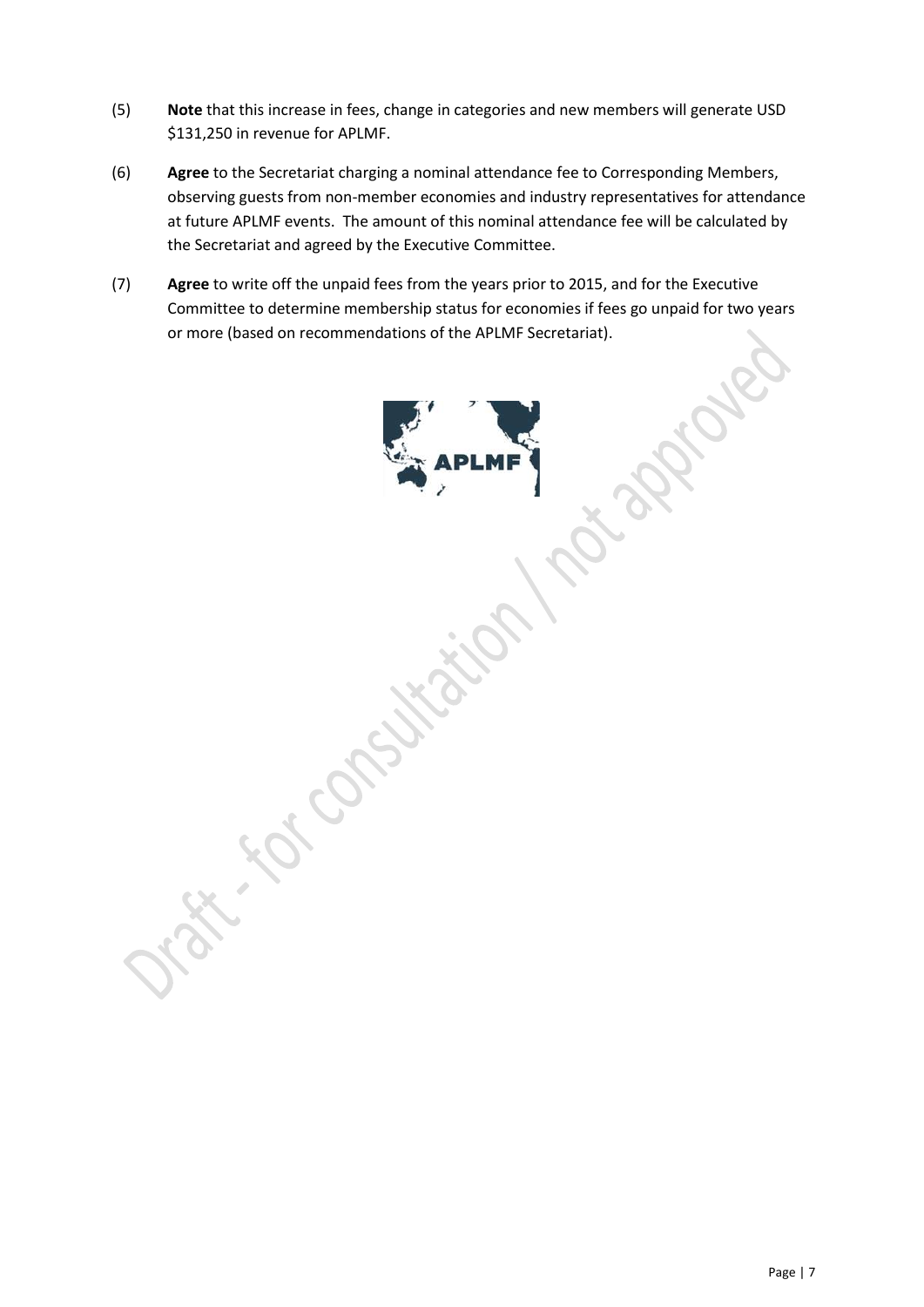- (5) **Note** that this increase in fees, change in categories and new members will generate USD \$131,250 in revenue for APLMF.
- (6) **Agree** to the Secretariat charging a nominal attendance fee to Corresponding Members, observing guests from non-member economies and industry representatives for attendance at future APLMF events. The amount of this nominal attendance fee will be calculated by the Secretariat and agreed by the Executive Committee.
- (7) **Agree** to write off the unpaid fees from the years prior to 2015, and for the Executive Committee to determine membership status for economies if fees go unpaid for two years or more (based on recommendations of the APLMF Secretariat).